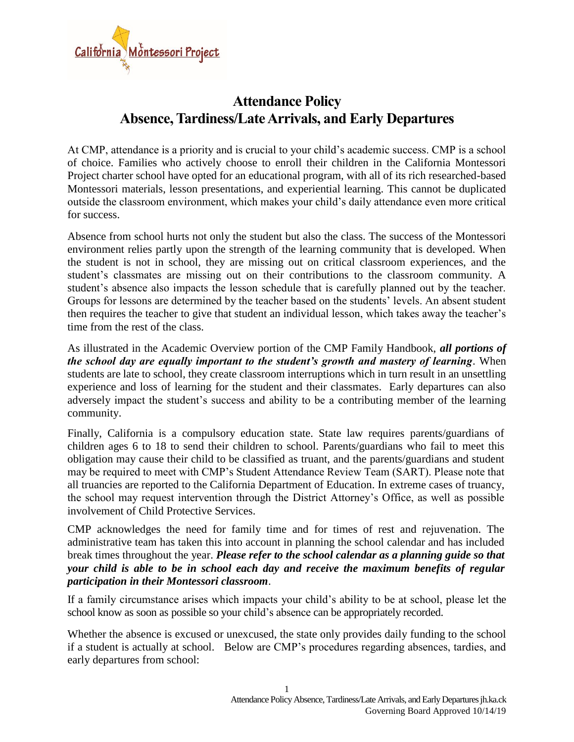

# **Attendance Policy Absence, Tardiness/Late Arrivals, and Early Departures**

At CMP, attendance is a priority and is crucial to your child's academic success. CMP is a school of choice. Families who actively choose to enroll their children in the California Montessori Project charter school have opted for an educational program, with all of its rich researched-based Montessori materials, lesson presentations, and experiential learning. This cannot be duplicated outside the classroom environment, which makes your child's daily attendance even more critical for success.

Absence from school hurts not only the student but also the class. The success of the Montessori environment relies partly upon the strength of the learning community that is developed. When the student is not in school, they are missing out on critical classroom experiences, and the student's classmates are missing out on their contributions to the classroom community. A student's absence also impacts the lesson schedule that is carefully planned out by the teacher. Groups for lessons are determined by the teacher based on the students' levels. An absent student then requires the teacher to give that student an individual lesson, which takes away the teacher's time from the rest of the class.

As illustrated in the Academic Overview portion of the CMP Family Handbook, *all portions of the school day are equally important to the student's growth and mastery of learning*. When students are late to school, they create classroom interruptions which in turn result in an unsettling experience and loss of learning for the student and their classmates. Early departures can also adversely impact the student's success and ability to be a contributing member of the learning community.

Finally, California is a compulsory education state. State law requires parents/guardians of children ages 6 to 18 to send their children to school. Parents/guardians who fail to meet this obligation may cause their child to be classified as truant, and the parents/guardians and student may be required to meet with CMP's Student Attendance Review Team (SART). Please note that all truancies are reported to the California Department of Education. In extreme cases of truancy, the school may request intervention through the District Attorney's Office, as well as possible involvement of Child Protective Services.

CMP acknowledges the need for family time and for times of rest and rejuvenation. The administrative team has taken this into account in planning the school calendar and has included break times throughout the year. *Please refer to the school calendar as a planning guide so that your child is able to be in school each day and receive the maximum benefits of regular participation in their Montessori classroom*.

If a family circumstance arises which impacts your child's ability to be at school, please let the school know as soon as possible so your child's absence can be appropriately recorded.

Whether the absence is excused or unexcused, the state only provides daily funding to the school if a student is actually at school. Below are CMP's procedures regarding absences, tardies, and early departures from school: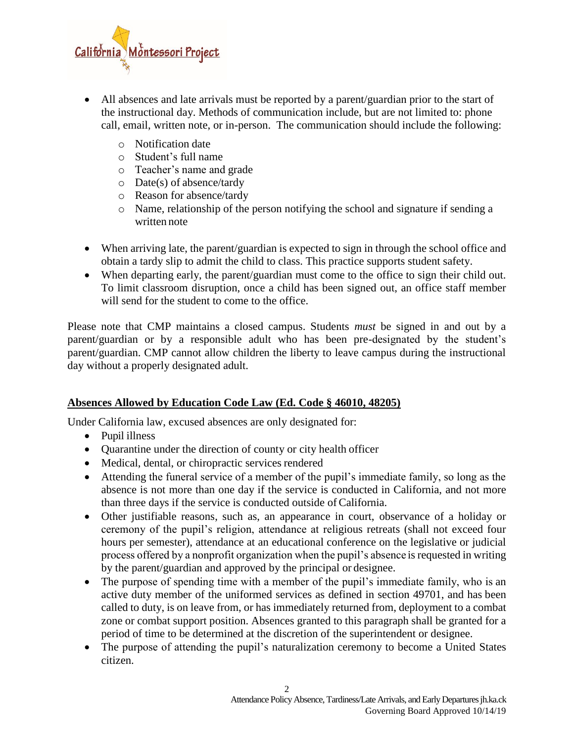

- All absences and late arrivals must be reported by a parent/guardian prior to the start of the instructional day. Methods of communication include, but are not limited to: phone call, email, written note, or in-person. The communication should include the following:
	- o Notification date
	- o Student's full name
	- o Teacher's name and grade
	- o Date(s) of absence/tardy
	- o Reason for absence/tardy
	- o Name, relationship of the person notifying the school and signature if sending a written note
- When arriving late, the parent/guardian is expected to sign in through the school office and obtain a tardy slip to admit the child to class. This practice supports student safety.
- When departing early, the parent/guardian must come to the office to sign their child out. To limit classroom disruption, once a child has been signed out, an office staff member will send for the student to come to the office.

Please note that CMP maintains a closed campus. Students *must* be signed in and out by a parent/guardian or by a responsible adult who has been pre-designated by the student's parent/guardian. CMP cannot allow children the liberty to leave campus during the instructional day without a properly designated adult.

# **Absences Allowed by Education Code Law (Ed. Code § 46010, 48205)**

Under California law, excused absences are only designated for:

- Pupil illness
- Quarantine under the direction of county or city health officer
- Medical, dental, or chiropractic services rendered
- Attending the funeral service of a member of the pupil's immediate family, so long as the absence is not more than one day if the service is conducted in California, and not more than three days if the service is conducted outside of California.
- Other justifiable reasons, such as, an appearance in court, observance of a holiday or ceremony of the pupil's religion, attendance at religious retreats (shall not exceed four hours per semester), attendance at an educational conference on the legislative or judicial process offered by a nonprofit organization when the pupil's absence is requested in writing by the parent/guardian and approved by the principal or designee.
- The purpose of spending time with a member of the pupil's immediate family, who is an active duty member of the uniformed services as defined in section 49701, and has been called to duty, is on leave from, or has immediately returned from, deployment to a combat zone or combat support position. Absences granted to this paragraph shall be granted for a period of time to be determined at the discretion of the superintendent or designee.
- The purpose of attending the pupil's naturalization ceremony to become a United States citizen.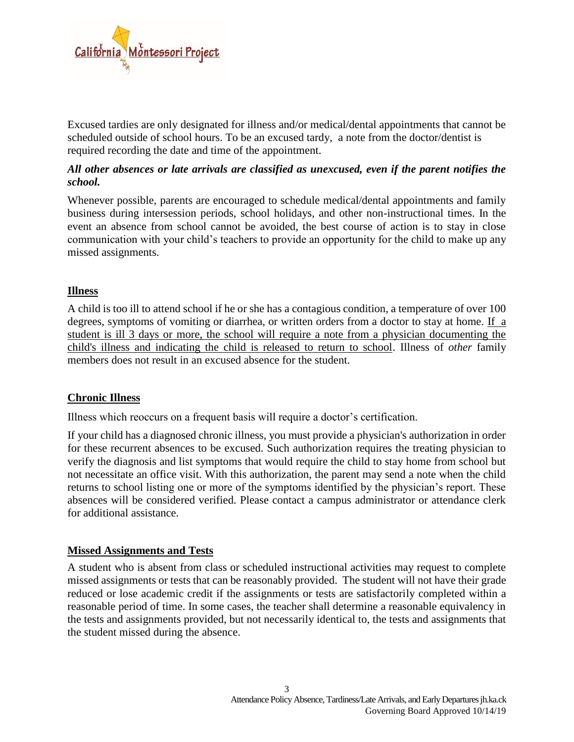

Excused tardies are only designated for illness and/or medical/dental appointments that cannot be scheduled outside of school hours. To be an excused tardy, a note from the doctor/dentist is required recording the date and time of the appointment.

# *All other absences or late arrivals are classified as unexcused, even if the parent notifies the school.*

Whenever possible, parents are encouraged to schedule medical/dental appointments and family business during intersession periods, school holidays, and other non-instructional times. In the event an absence from school cannot be avoided, the best course of action is to stay in close communication with your child's teachers to provide an opportunity for the child to make up any missed assignments.

## **Illness**

A child is too ill to attend school if he or she has a contagious condition, a temperature of over 100 degrees, symptoms of vomiting or diarrhea, or written orders from a doctor to stay at home. If a student is ill 3 days or more, the school will require a note from a physician documenting the child's illness and indicating the child is released to return to school. Illness of *other* family members does not result in an excused absence for the student.

#### **Chronic Illness**

Illness which reoccurs on a frequent basis will require a doctor's certification.

If your child has a diagnosed chronic illness, you must provide a physician's authorization in order for these recurrent absences to be excused. Such authorization requires the treating physician to verify the diagnosis and list symptoms that would require the child to stay home from school but not necessitate an office visit. With this authorization, the parent may send a note when the child returns to school listing one or more of the symptoms identified by the physician's report. These absences will be considered verified. Please contact a campus administrator or attendance clerk for additional assistance.

#### **Missed Assignments and Tests**

A student who is absent from class or scheduled instructional activities may request to complete missed assignments or tests that can be reasonably provided. The student will not have their grade reduced or lose academic credit if the assignments or tests are satisfactorily completed within a reasonable period of time. In some cases, the teacher shall determine a reasonable equivalency in the tests and assignments provided, but not necessarily identical to, the tests and assignments that the student missed during the absence.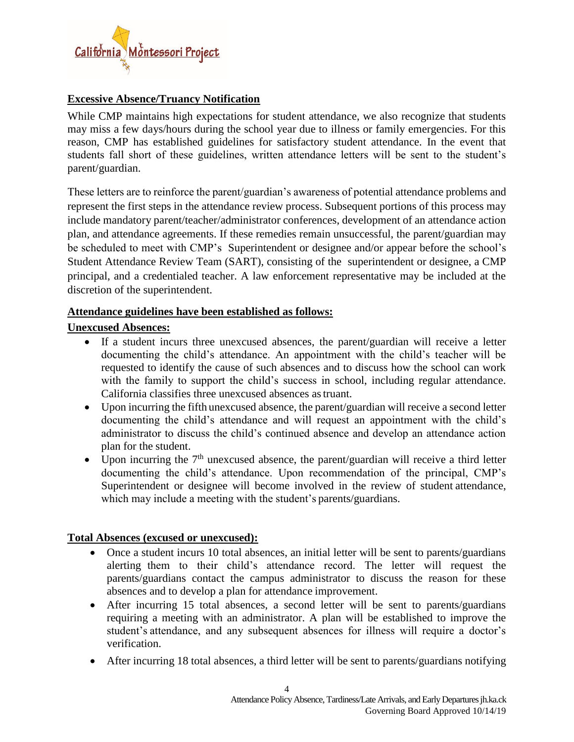

## **Excessive Absence/Truancy Notification**

While CMP maintains high expectations for student attendance, we also recognize that students may miss a few days/hours during the school year due to illness or family emergencies. For this reason, CMP has established guidelines for satisfactory student attendance. In the event that students fall short of these guidelines, written attendance letters will be sent to the student's parent/guardian.

These letters are to reinforce the parent/guardian's awareness of potential attendance problems and represent the first steps in the attendance review process. Subsequent portions of this process may include mandatory parent/teacher/administrator conferences, development of an attendance action plan, and attendance agreements. If these remedies remain unsuccessful, the parent/guardian may be scheduled to meet with CMP's Superintendent or designee and/or appear before the school's Student Attendance Review Team (SART), consisting of the superintendent or designee, a CMP principal, and a credentialed teacher. A law enforcement representative may be included at the discretion of the superintendent.

## **Attendance guidelines have been established as follows:**

# **Unexcused Absences:**

- If a student incurs three unexcused absences, the parent/guardian will receive a letter documenting the child's attendance. An appointment with the child's teacher will be requested to identify the cause of such absences and to discuss how the school can work with the family to support the child's success in school, including regular attendance. California classifies three unexcused absences astruant.
- Upon incurring the fifth unexcused absence, the parent/guardian will receive a second letter documenting the child's attendance and will request an appointment with the child's administrator to discuss the child's continued absence and develop an attendance action plan for the student.
- Upon incurring the  $7<sup>th</sup>$  unexcused absence, the parent/guardian will receive a third letter documenting the child's attendance. Upon recommendation of the principal, CMP's Superintendent or designee will become involved in the review of student attendance, which may include a meeting with the student's parents/guardians.

#### **Total Absences (excused or unexcused):**

- Once a student incurs 10 total absences, an initial letter will be sent to parents/guardians alerting them to their child's attendance record. The letter will request the parents/guardians contact the campus administrator to discuss the reason for these absences and to develop a plan for attendance improvement.
- After incurring 15 total absences, a second letter will be sent to parents/guardians requiring a meeting with an administrator. A plan will be established to improve the student's attendance, and any subsequent absences for illness will require a doctor's verification.
- After incurring 18 total absences, a third letter will be sent to parents/guardians notifying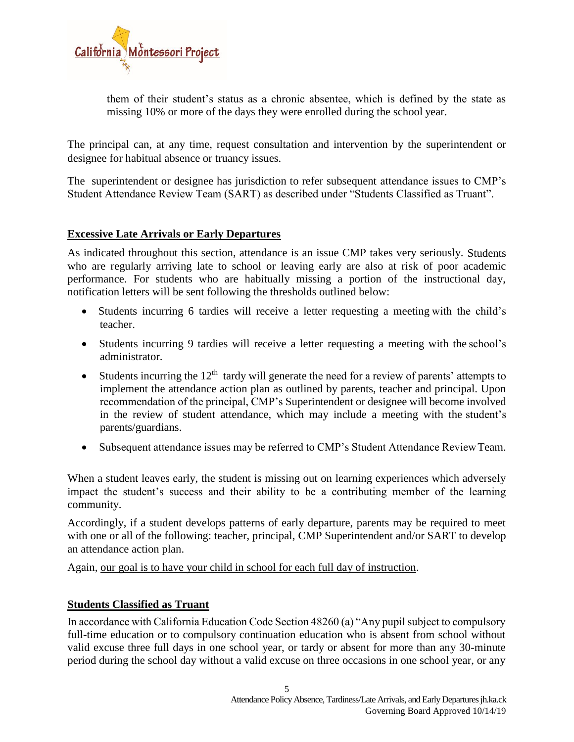

them of their student's status as a chronic absentee, which is defined by the state as missing 10% or more of the days they were enrolled during the school year.

The principal can, at any time, request consultation and intervention by the superintendent or designee for habitual absence or truancy issues.

The superintendent or designee has jurisdiction to refer subsequent attendance issues to CMP's Student Attendance Review Team (SART) as described under "Students Classified as Truant".

## **Excessive Late Arrivals or Early Departures**

As indicated throughout this section, attendance is an issue CMP takes very seriously. Students who are regularly arriving late to school or leaving early are also at risk of poor academic performance. For students who are habitually missing a portion of the instructional day, notification letters will be sent following the thresholds outlined below:

- Students incurring 6 tardies will receive a letter requesting a meeting with the child's teacher.
- Students incurring 9 tardies will receive a letter requesting a meeting with the school's administrator.
- $\bullet$  Students incurring the 12<sup>th</sup> tardy will generate the need for a review of parents' attempts to implement the attendance action plan as outlined by parents, teacher and principal. Upon recommendation of the principal, CMP's Superintendent or designee will become involved in the review of student attendance, which may include a meeting with the student's parents/guardians.
- Subsequent attendance issues may be referred to CMP's Student Attendance ReviewTeam.

When a student leaves early, the student is missing out on learning experiences which adversely impact the student's success and their ability to be a contributing member of the learning community.

Accordingly, if a student develops patterns of early departure, parents may be required to meet with one or all of the following: teacher, principal, CMP Superintendent and/or SART to develop an attendance action plan.

Again, our goal is to have your child in school for each full day of instruction.

#### **Students Classified as Truant**

In accordance with California Education Code Section 48260 (a) "Any pupil subject to compulsory full-time education or to compulsory continuation education who is absent from school without valid excuse three full days in one school year, or tardy or absent for more than any 30-minute period during the school day without a valid excuse on three occasions in one school year, or any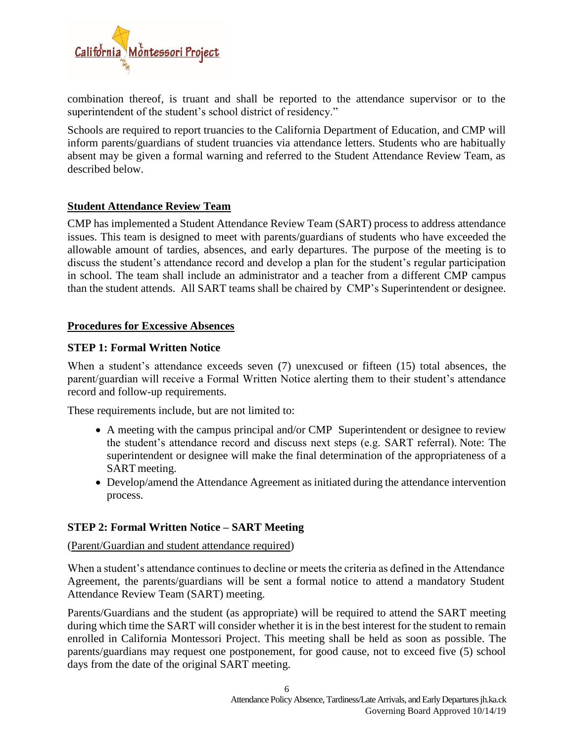

combination thereof, is truant and shall be reported to the attendance supervisor or to the superintendent of the student's school district of residency."

Schools are required to report truancies to the California Department of Education, and CMP will inform parents/guardians of student truancies via attendance letters. Students who are habitually absent may be given a formal warning and referred to the Student Attendance Review Team, as described below.

## **Student Attendance Review Team**

CMP has implemented a Student Attendance Review Team (SART) process to address attendance issues. This team is designed to meet with parents/guardians of students who have exceeded the allowable amount of tardies, absences, and early departures. The purpose of the meeting is to discuss the student's attendance record and develop a plan for the student's regular participation in school. The team shall include an administrator and a teacher from a different CMP campus than the student attends. All SART teams shall be chaired by CMP's Superintendent or designee.

#### **Procedures for Excessive Absences**

## **STEP 1: Formal Written Notice**

When a student's attendance exceeds seven (7) unexcused or fifteen (15) total absences, the parent/guardian will receive a Formal Written Notice alerting them to their student's attendance record and follow-up requirements.

These requirements include, but are not limited to:

- A meeting with the campus principal and/or CMP Superintendent or designee to review the student's attendance record and discuss next steps (e.g. SART referral). Note: The superintendent or designee will make the final determination of the appropriateness of a SART meeting.
- Develop/amend the Attendance Agreement as initiated during the attendance intervention process.

#### **STEP 2: Formal Written Notice – SART Meeting**

(Parent/Guardian and student attendance required)

When a student's attendance continues to decline or meets the criteria as defined in the Attendance Agreement, the parents/guardians will be sent a formal notice to attend a mandatory Student Attendance Review Team (SART) meeting.

Parents/Guardians and the student (as appropriate) will be required to attend the SART meeting during which time the SART will consider whether it is in the best interest for the student to remain enrolled in California Montessori Project. This meeting shall be held as soon as possible. The parents/guardians may request one postponement, for good cause, not to exceed five (5) school days from the date of the original SART meeting.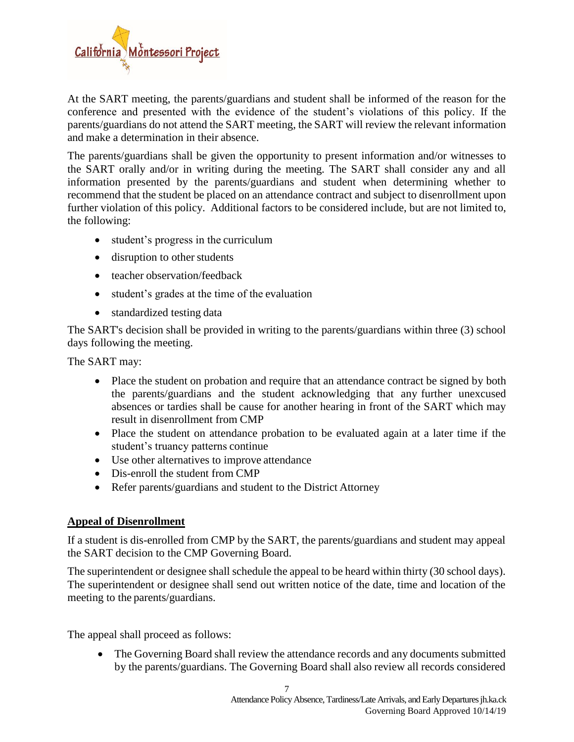

At the SART meeting, the parents/guardians and student shall be informed of the reason for the conference and presented with the evidence of the student's violations of this policy. If the parents/guardians do not attend the SART meeting, the SART will review the relevant information and make a determination in their absence.

The parents/guardians shall be given the opportunity to present information and/or witnesses to the SART orally and/or in writing during the meeting. The SART shall consider any and all information presented by the parents/guardians and student when determining whether to recommend that the student be placed on an attendance contract and subject to disenrollment upon further violation of this policy. Additional factors to be considered include, but are not limited to, the following:

- student's progress in the curriculum
- disruption to other students
- teacher observation/feedback
- student's grades at the time of the evaluation
- standardized testing data

The SART's decision shall be provided in writing to the parents/guardians within three (3) school days following the meeting.

The SART may:

- Place the student on probation and require that an attendance contract be signed by both the parents/guardians and the student acknowledging that any further unexcused absences or tardies shall be cause for another hearing in front of the SART which may result in disenrollment from CMP
- Place the student on attendance probation to be evaluated again at a later time if the student's truancy patterns continue
- Use other alternatives to improve attendance
- Dis-enroll the student from CMP
- Refer parents/guardians and student to the District Attorney

#### **Appeal of Disenrollment**

If a student is dis-enrolled from CMP by the SART, the parents/guardians and student may appeal the SART decision to the CMP Governing Board.

The superintendent or designee shall schedule the appeal to be heard within thirty (30 school days). The superintendent or designee shall send out written notice of the date, time and location of the meeting to the parents/guardians.

The appeal shall proceed as follows:

• The Governing Board shall review the attendance records and any documents submitted by the parents/guardians. The Governing Board shall also review all records considered

7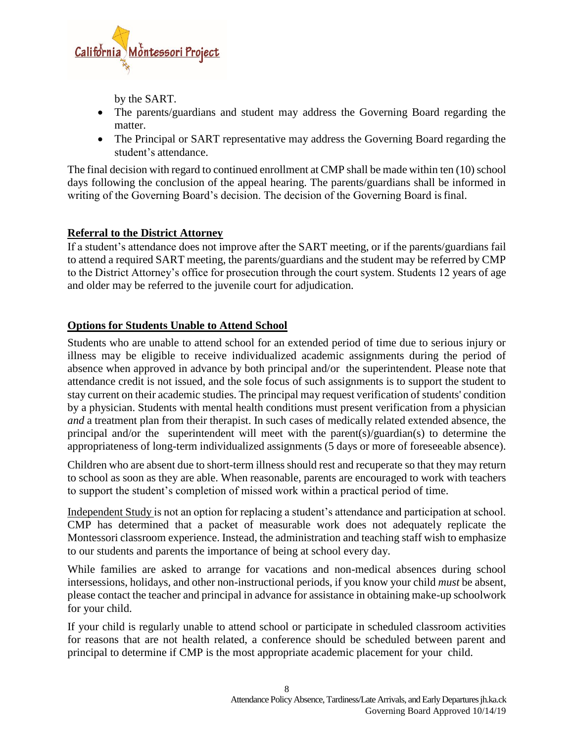

by the SART.

- The parents/guardians and student may address the Governing Board regarding the matter.
- The Principal or SART representative may address the Governing Board regarding the student's attendance.

The final decision with regard to continued enrollment at CMP shall be made within ten (10) school days following the conclusion of the appeal hearing. The parents/guardians shall be informed in writing of the Governing Board's decision. The decision of the Governing Board isfinal.

## **Referral to the District Attorney**

If a student's attendance does not improve after the SART meeting, or if the parents/guardians fail to attend a required SART meeting, the parents/guardians and the student may be referred by CMP to the District Attorney's office for prosecution through the court system. Students 12 years of age and older may be referred to the juvenile court for adjudication.

# **Options for Students Unable to Attend School**

Students who are unable to attend school for an extended period of time due to serious injury or illness may be eligible to receive individualized academic assignments during the period of absence when approved in advance by both principal and/or the superintendent. Please note that attendance credit is not issued, and the sole focus of such assignments is to support the student to stay current on their academic studies. The principal may request verification of students' condition by a physician. Students with mental health conditions must present verification from a physician *and* a treatment plan from their therapist. In such cases of medically related extended absence, the principal and/or the superintendent will meet with the parent(s)/guardian(s) to determine the appropriateness of long-term individualized assignments (5 days or more of foreseeable absence).

Children who are absent due to short-term illness should rest and recuperate so that they may return to school as soon as they are able. When reasonable, parents are encouraged to work with teachers to support the student's completion of missed work within a practical period of time.

Independent Study is not an option for replacing a student's attendance and participation at school. CMP has determined that a packet of measurable work does not adequately replicate the Montessori classroom experience. Instead, the administration and teaching staff wish to emphasize to our students and parents the importance of being at school every day.

While families are asked to arrange for vacations and non-medical absences during school intersessions, holidays, and other non-instructional periods, if you know your child *must* be absent, please contact the teacher and principal in advance for assistance in obtaining make-up schoolwork for your child.

If your child is regularly unable to attend school or participate in scheduled classroom activities for reasons that are not health related, a conference should be scheduled between parent and principal to determine if CMP is the most appropriate academic placement for your child.